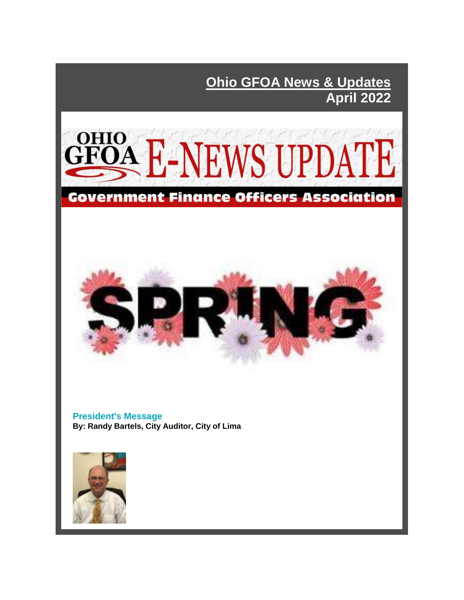**Ohio GFOA News & Updates April 2022** 





**President's Message By: Randy Bartels, City Auditor, City of Lima**

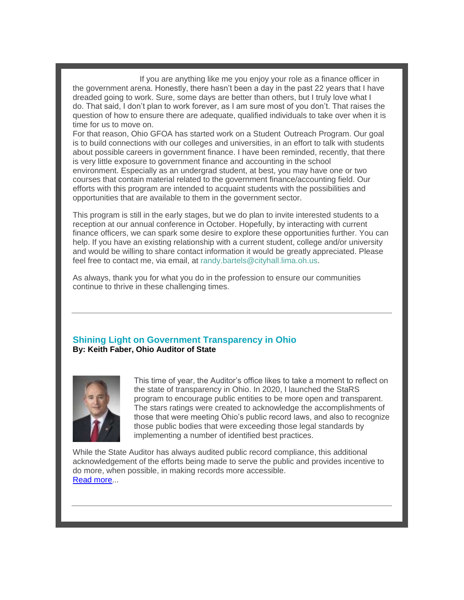If you are anything like me you enjoy your role as a finance officer in the government arena. Honestly, there hasn't been a day in the past 22 years that I have dreaded going to work. Sure, some days are better than others, but I truly love what I do. That said, I don't plan to work forever, as I am sure most of you don't. That raises the question of how to ensure there are adequate, qualified individuals to take over when it is time for us to move on.

For that reason, Ohio GFOA has started work on a Student Outreach Program. Our goal is to build connections with our colleges and universities, in an effort to talk with students about possible careers in government finance. I have been reminded, recently, that there is very little exposure to government finance and accounting in the school environment. Especially as an undergrad student, at best, you may have one or two courses that contain material related to the government finance/accounting field. Our efforts with this program are intended to acquaint students with the possibilities and opportunities that are available to them in the government sector.

This program is still in the early stages, but we do plan to invite interested students to a reception at our annual conference in October. Hopefully, by interacting with current finance officers, we can spark some desire to explore these opportunities further. You can help. If you have an existing relationship with a current student, college and/or university and would be willing to share contact information it would be greatly appreciated. Please feel free to contact me, via email, at [randy.bartels@cityhall.lima.oh.us.](mailto:randy.bartels@cityhall.lima.oh.us)

As always, thank you for what you do in the profession to ensure our communities continue to thrive in these challenging times.

#### **Shining Light on Government Transparency in Ohio By: Keith Faber, Ohio Auditor of State**



This time of year, the Auditor's office likes to take a moment to reflect on the state of transparency in Ohio. In 2020, I launched the StaRS program to encourage public entities to be more open and transparent. The stars ratings were created to acknowledge the accomplishments of those that were meeting Ohio's public record laws, and also to recognize those public bodies that were exceeding those legal standards by implementing a number of identified best practices.

While the State Auditor has always audited public record compliance, this additional acknowledgement of the efforts being made to serve the public and provides incentive to do more, when possible, in making records more accessible. [Read more.](https://files.constantcontact.com/b4c35adc001/42de1898-757f-449c-849d-5728a4328549.pdf?rdr=true)..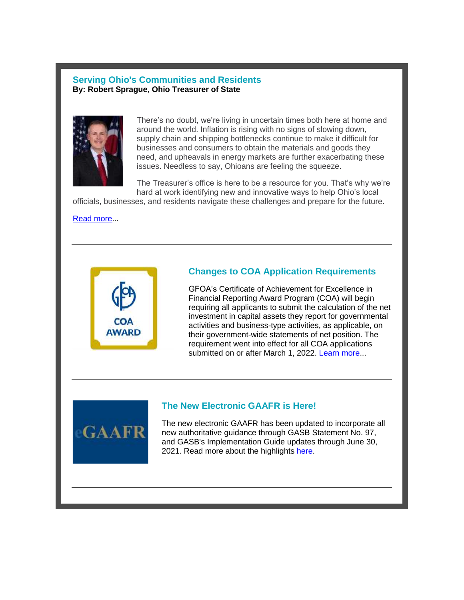#### **Serving Ohio's Communities and Residents By: Robert Sprague, Ohio Treasurer of State**



There's no doubt, we're living in uncertain times both here at home and around the world. Inflation is rising with no signs of slowing down, supply chain and shipping bottlenecks continue to make it difficult for businesses and consumers to obtain the materials and goods they need, and upheavals in energy markets are further exacerbating these issues. Needless to say, Ohioans are feeling the squeeze.

The Treasurer's office is here to be a resource for you. That's why we're hard at work identifying new and innovative ways to help Ohio's local

officials, businesses, and residents navigate these challenges and prepare for the future.

[Read more.](https://files.constantcontact.com/b4c35adc001/9edc4f08-0de9-4daf-9ce1-1b1e5cf71bfb.pdf?rdr=true)..



### **Changes to COA Application Requirements**

GFOA's Certificate of Achievement for Excellence in Financial Reporting Award Program (COA) will begin requiring all applicants to submit the calculation of the net investment in capital assets they report for governmental activities and business-type activities, as applicable, on their government-wide statements of net position. The requirement went into effect for all COA applications submitted on or after March 1, 2022. [Learn more.](https://www.gfoa.org/coa-award)..



### **The New Electronic GAAFR is Here!**

The new electronic GAAFR has been updated to incorporate all new authoritative guidance through GASB Statement No. 97, and GASB's Implementation Guide updates through June 30, 2021. Read more about the highlights [here.](http://gfoa.informz.net/z/cjUucD9taT0xMDM4NDA3OSZwPTEmdT0xMDA5ODIwODA3JmxpPTkxOTAzOTkz/index.html)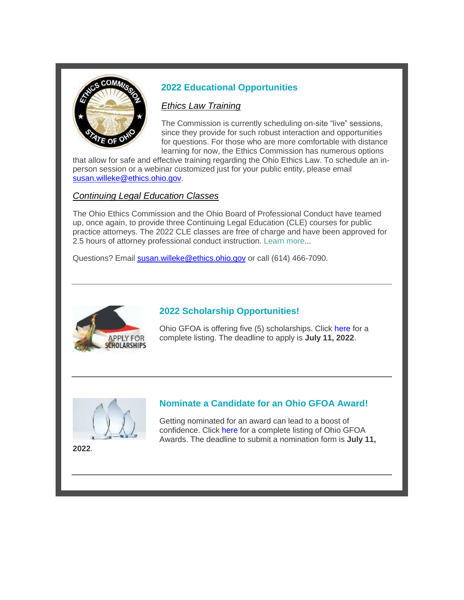

# **2022 Educational Opportunities**

### *Ethics Law Training*

The Commission is currently scheduling on-site "live" sessions, since they provide for such robust interaction and opportunities for questions. For those who are more comfortable with distance learning for now, the Ethics Commission has numerous options

that allow for safe and effective training regarding the Ohio Ethics Law. To schedule an inperson session or a webinar customized just for your public entity, please email [susan.willeke@ethics.ohio.gov.](mailto:susan.willeke@ethics.ohio.gov)

## *Continuing Legal Education Classes*

The Ohio Ethics Commission and the Ohio Board of Professional Conduct have teamed up, once again, to provide three Continuing Legal Education (CLE) courses for public practice attorneys. The 2022 CLE classes are free of charge and have been approved for 2.5 hours of attorney professional conduct instruction. [Learn more.](https://disclosure.ethics.ohio.gov/Registration/ClassList/Index/2)..

Questions? Email [susan.willeke@ethics.ohio.gov](mailto:susan.willeke@ethics.ohio.gov) or call (614) 466-7090.



# **2022 Scholarship Opportunities!**

Ohio GFOA is offering five (5) scholarships. Click [here](https://www.ohgfoa.com/scholarships) for a complete listing. The deadline to apply is **July 11, 2022**.



### **Nominate a Candidate for an Ohio GFOA Award!**

Getting nominated for an award can lead to a boost of confidence. Click [here](https://www.ohgfoa.com/awards) for a complete listing of Ohio GFOA Awards. The deadline to submit a nomination form is **July 11,** 

**2022**.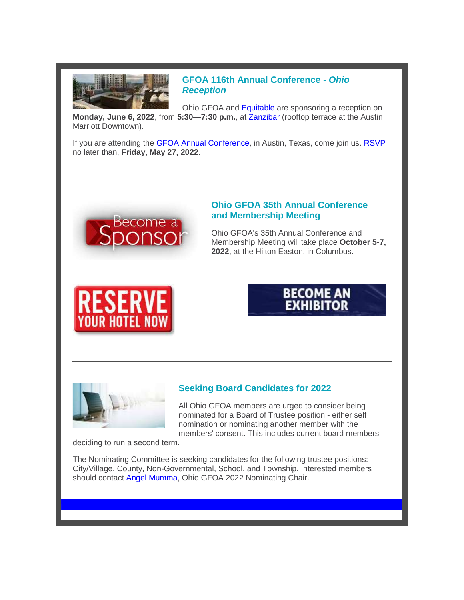

**GFOA 116th Annual Conference -** *Ohio Reception*

Ohio GFOA and [Equitable](https://equitable.com/) are sponsoring a reception on **Monday, June 6, 2022**, from **5:30—7:30 p.m.**, at [Zanzibar](https://www.zanzibaratx.com/) (rooftop terrace at the Austin Marriott Downtown).

If you are attending the [GFOA Annual Conference,](https://www.gfoa.org/conference) in Austin, Texas, come join us. [RSVP](mailto:gfoa@assnoffices.com) no later than, **Friday, May 27, 2022**.



### **Ohio GFOA 35th Annual Conference and Membership Meeting**

Ohio GFOA's 35th Annual Conference and Membership Meeting will take place **October 5-7, 2022**, at the Hilton Easton, in Columbus.







### **Seeking Board Candidates for 2022**

All Ohio GFOA members are urged to consider being nominated for a Board of Trustee position - either self nomination or nominating another member with the members' consent. This includes current board members

deciding to run a second term.

The Nominating Committee is seeking candidates for the following trustee positions: City/Village, County, Non-Governmental, School, and Township. Interested members should contact [Angel Mumma,](mailto:mummaal@cota.com) Ohio GFOA 2022 Nominating Chair.